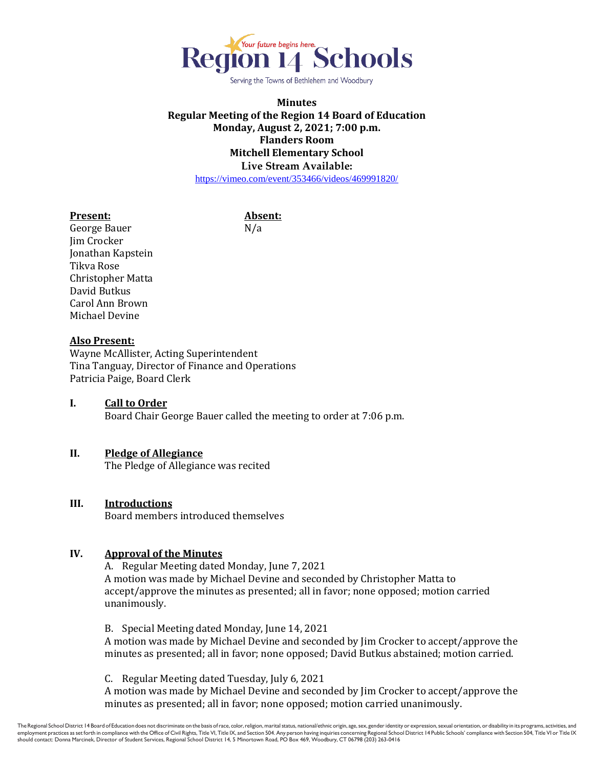

Serving the Towns of Bethlehem and Woodbury

### **Minutes Regular Meeting of the Region 14 Board of Education Monday, August 2, 2021; 7:00 p.m. Flanders Room Mitchell Elementary School Live Stream Available:** <https://vimeo.com/event/353466/videos/469991820/>

#### **Present: Absent:**

George Bauer N/a Jim Crocker Jonathan Kapstein Tikva Rose Christopher Matta David Butkus Carol Ann Brown Michael Devine

#### **Also Present:**

Wayne McAllister, Acting Superintendent Tina Tanguay, Director of Finance and Operations Patricia Paige, Board Clerk

### **I. Call to Order** Board Chair George Bauer called the meeting to order at 7:06 p.m.

## **II. Pledge of Allegiance**

The Pledge of Allegiance was recited

#### **III. Introductions**

Board members introduced themselves

#### **IV. Approval of the Minutes**

A. Regular Meeting dated Monday, June 7, 2021 A motion was made by Michael Devine and seconded by Christopher Matta to accept/approve the minutes as presented; all in favor; none opposed; motion carried unanimously.

B. Special Meeting dated Monday, June 14, 2021

A motion was made by Michael Devine and seconded by Jim Crocker to accept/approve the minutes as presented; all in favor; none opposed; David Butkus abstained; motion carried.

C. Regular Meeting dated Tuesday, July 6, 2021

A motion was made by Michael Devine and seconded by Jim Crocker to accept/approve the minutes as presented; all in favor; none opposed; motion carried unanimously.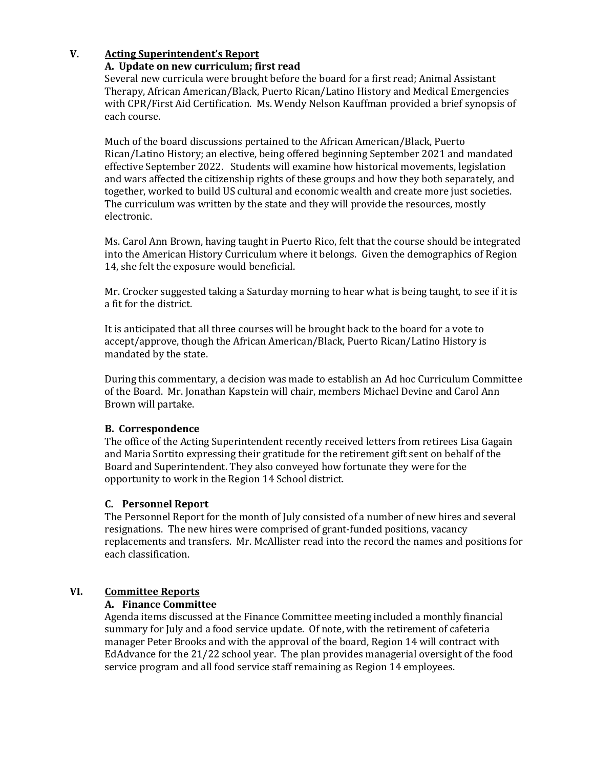## **V. Acting Superintendent's Report**

### **A. Update on new curriculum; first read**

Several new curricula were brought before the board for a first read; Animal Assistant Therapy, African American/Black, Puerto Rican/Latino History and Medical Emergencies with CPR/First Aid Certification. Ms. Wendy Nelson Kauffman provided a brief synopsis of each course.

Much of the board discussions pertained to the African American/Black, Puerto Rican/Latino History; an elective, being offered beginning September 2021 and mandated effective September 2022. Students will examine how historical movements, legislation and wars affected the citizenship rights of these groups and how they both separately, and together, worked to build US cultural and economic wealth and create more just societies. The curriculum was written by the state and they will provide the resources, mostly electronic.

Ms. Carol Ann Brown, having taught in Puerto Rico, felt that the course should be integrated into the American History Curriculum where it belongs. Given the demographics of Region 14, she felt the exposure would beneficial.

Mr. Crocker suggested taking a Saturday morning to hear what is being taught, to see if it is a fit for the district.

It is anticipated that all three courses will be brought back to the board for a vote to accept/approve, though the African American/Black, Puerto Rican/Latino History is mandated by the state.

During this commentary, a decision was made to establish an Ad hoc Curriculum Committee of the Board. Mr. Jonathan Kapstein will chair, members Michael Devine and Carol Ann Brown will partake.

#### **B. Correspondence**

The office of the Acting Superintendent recently received letters from retirees Lisa Gagain and Maria Sortito expressing their gratitude for the retirement gift sent on behalf of the Board and Superintendent. They also conveyed how fortunate they were for the opportunity to work in the Region 14 School district.

#### **C. Personnel Report**

The Personnel Report for the month of July consisted of a number of new hires and several resignations. The new hires were comprised of grant-funded positions, vacancy replacements and transfers. Mr. McAllister read into the record the names and positions for each classification.

## **VI. Committee Reports**

#### **A. Finance Committee**

Agenda items discussed at the Finance Committee meeting included a monthly financial summary for July and a food service update. Of note, with the retirement of cafeteria manager Peter Brooks and with the approval of the board, Region 14 will contract with EdAdvance for the 21/22 school year. The plan provides managerial oversight of the food service program and all food service staff remaining as Region 14 employees.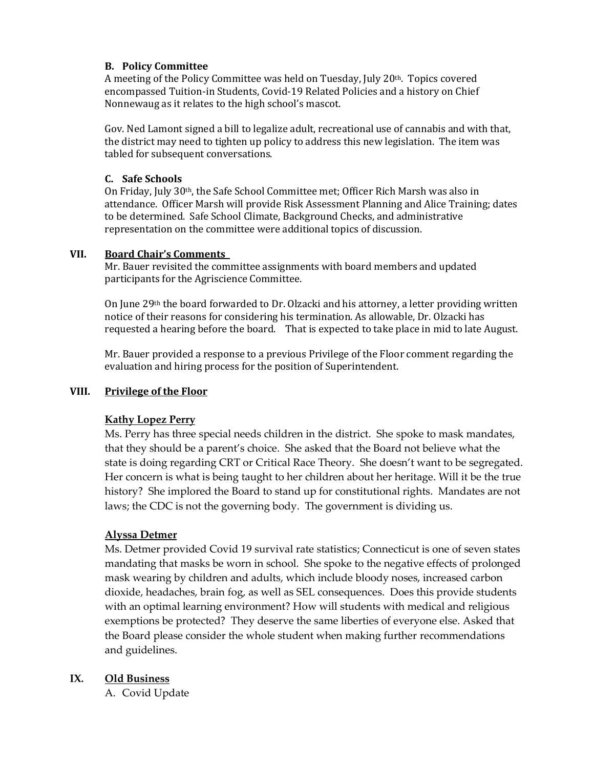## **B. Policy Committee**

A meeting of the Policy Committee was held on Tuesday, July 20th. Topics covered encompassed Tuition-in Students, Covid-19 Related Policies and a history on Chief Nonnewaug as it relates to the high school's mascot.

Gov. Ned Lamont signed a bill to legalize adult, recreational use of cannabis and with that, the district may need to tighten up policy to address this new legislation. The item was tabled for subsequent conversations.

## **C. Safe Schools**

On Friday, July 30th, the Safe School Committee met; Officer Rich Marsh was also in attendance. Officer Marsh will provide Risk Assessment Planning and Alice Training; dates to be determined. Safe School Climate, Background Checks, and administrative representation on the committee were additional topics of discussion.

### **VII. Board Chair's Comments**

Mr. Bauer revisited the committee assignments with board members and updated participants for the Agriscience Committee.

On June 29th the board forwarded to Dr. Olzacki and his attorney, a letter providing written notice of their reasons for considering his termination. As allowable, Dr. Olzacki has requested a hearing before the board. That is expected to take place in mid to late August.

Mr. Bauer provided a response to a previous Privilege of the Floor comment regarding the evaluation and hiring process for the position of Superintendent.

## **VIII. Privilege of the Floor**

## **Kathy Lopez Perry**

Ms. Perry has three special needs children in the district. She spoke to mask mandates, that they should be a parent's choice. She asked that the Board not believe what the state is doing regarding CRT or Critical Race Theory. She doesn't want to be segregated. Her concern is what is being taught to her children about her heritage. Will it be the true history? She implored the Board to stand up for constitutional rights. Mandates are not laws; the CDC is not the governing body. The government is dividing us.

## **Alyssa Detmer**

Ms. Detmer provided Covid 19 survival rate statistics; Connecticut is one of seven states mandating that masks be worn in school. She spoke to the negative effects of prolonged mask wearing by children and adults, which include bloody noses, increased carbon dioxide, headaches, brain fog, as well as SEL consequences. Does this provide students with an optimal learning environment? How will students with medical and religious exemptions be protected? They deserve the same liberties of everyone else. Asked that the Board please consider the whole student when making further recommendations and guidelines.

# **IX. Old Business**

A. Covid Update